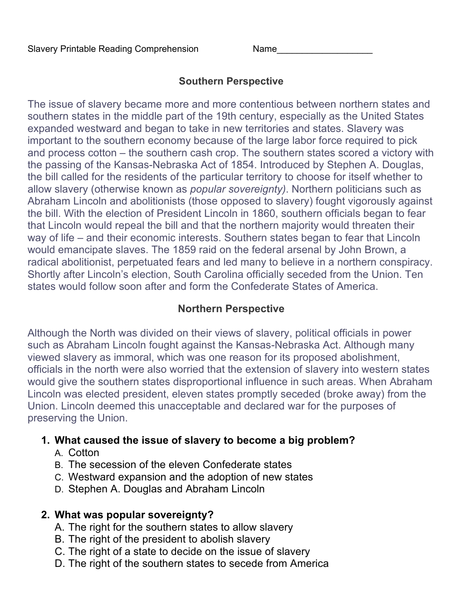## **Southern Perspective**

The issue of slavery became more and more contentious between northern states and southern states in the middle part of the 19th century, especially as the United States expanded westward and began to take in new territories and states. Slavery was important to the southern economy because of the large labor force required to pick and process cotton – the southern cash crop. The southern states scored a victory with the passing of the Kansas-Nebraska Act of 1854. Introduced by Stephen A. Douglas, the bill called for the residents of the particular territory to choose for itself whether to allow slavery (otherwise known as *popular sovereignty)*. Northern politicians such as Abraham Lincoln and abolitionists (those opposed to slavery) fought vigorously against the bill. With the election of President Lincoln in 1860, southern officials began to fear that Lincoln would repeal the bill and that the northern majority would threaten their way of life – and their economic interests. Southern states began to fear that Lincoln would emancipate slaves. The 1859 raid on the federal arsenal by John Brown, a radical abolitionist, perpetuated fears and led many to believe in a northern conspiracy. Shortly after Lincoln's election, South Carolina officially seceded from the Union. Ten states would follow soon after and form the Confederate States of America.

# **Northern Perspective**

Although the North was divided on their views of slavery, political officials in power such as Abraham Lincoln fought against the Kansas-Nebraska Act. Although many viewed slavery as immoral, which was one reason for its proposed abolishment, officials in the north were also worried that the extension of slavery into western states would give the southern states disproportional influence in such areas. When Abraham Lincoln was elected president, eleven states promptly seceded (broke away) from the Union. Lincoln deemed this unacceptable and declared war for the purposes of preserving the Union.

### **1. What caused the issue of slavery to become a big problem?**

- A. Cotton
- B. The secession of the eleven Confederate states
- C. Westward expansion and the adoption of new states
- D. Stephen A. Douglas and Abraham Lincoln

### **2. What was popular sovereignty?**

- A. The right for the southern states to allow slavery
- B. The right of the president to abolish slavery
- C. The right of a state to decide on the issue of slavery
- D. The right of the southern states to secede from America